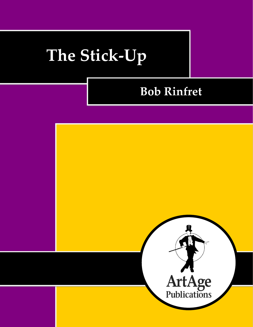# **The Stick-Up**

# **Bob Rinfret**

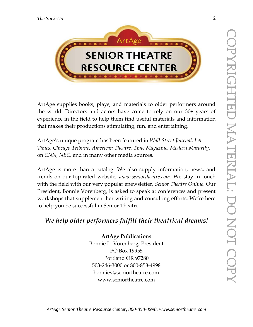

ArtAge supplies books, plays, and materials to older performers around the world. Directors and actors have come to rely on our 30+ years of experience in the field to help them find useful materials and information that makes their productions stimulating, fun, and entertaining.

ArtAge's unique program has been featured in *Wall Street Journal, LA Times, Chicago Tribune, American Theatre, Time Magazine, Modern Maturity,*  on *CNN, NBC,* and in many other media sources.

ArtAge is more than a catalog. We also supply information, news, and trends on our top-rated website, *www.seniortheatre.com*. We stay in touch with the field with our very popular enewsletter, *Senior Theatre Online*. Our President, Bonnie Vorenberg, is asked to speak at conferences and present workshops that supplement her writing and consulting efforts. We're here to help you be successful in Senior Theatre!

## *We help older performers fulfill their theatrical dreams!*

## **ArtAge Publications**

Bonnie L. Vorenberg, President PO Box 19955 Portland OR 97280 503-246-3000 or 800-858-4998 bonniev@seniortheatre.com www.seniortheatre.com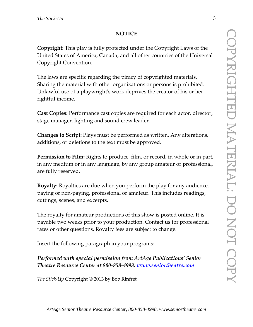#### **NOTICE**

**Copyright:** This play is fully protected under the Copyright Laws of the United States of America, Canada, and all other countries of the Universal Copyright Convention.

The laws are specific regarding the piracy of copyrighted materials. Sharing the material with other organizations or persons is prohibited. Unlawful use of a playwright's work deprives the creator of his or her rightful income.

**Cast Copies:** Performance cast copies are required for each actor, director, stage manager, lighting and sound crew leader.

**Changes to Script:** Plays must be performed as written. Any alterations, additions, or deletions to the text must be approved.

**Permission to Film:** Rights to produce, film, or record, in whole or in part, in any medium or in any language, by any group amateur or professional, are fully reserved.

**Royalty:** Royalties are due when you perform the play for any audience, paying or non-paying, professional or amateur. This includes readings, cuttings, scenes, and excerpts.

The royalty for amateur productions of this show is posted online. It is payable two weeks prior to your production. Contact us for professional rates or other questions. Royalty fees are subject to change.

Insert the following paragraph in your programs:

*Performed with special permission from ArtAge Publications' Senior Theatre Resource Center at 800-858-4998, [www.seniortheatre.com](http://www.seniortheatre.com/)*

*The Stick-Up* Copyright © 2013 by Bob Rinfret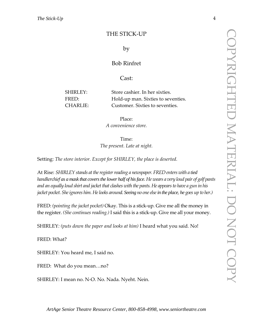#### THE STICK-UP

#### by

#### Bob Rinfret

#### Cast:

SHIRLEY: Store cashier. In her sixties. FRED: Hold-up man. Sixties to seventies. CHARLIE: Customer. Sixties to seventies.

> Place: *A convenience store.*

Time: *The present. Late at night.*

Setting: *The store interior. Except for SHIRLEY, the place is deserted.*

At Rise: *SHIRLEY stands at the register reading a newspaper. FRED enters with a tied handkerchief as a mask that covers the lower half of his face. He wears a very loud pair of golf pants and an equally loud shirt and jacket that clashes with the pants. He appears to have a gun in his jacket pocket. She ignores him. He looks around. Seeing no one elsein the place, he goes up to her.)*

FRED: *(pointing the jacket pocket)* Okay. This is a stick-up. Give me all the money in the register. *(She continues reading.)* I said this is a stick-up. Give me all your money.

SHIRLEY*: (puts down the paper and looks at him)* I heard what you said*.* No!

FRED: What?

SHIRLEY: You heard me, I said no.

FRED: What do you mean…no?

SHIRLEY: I mean no. N-O. No. Nada. Nyeht. Nein.

*ArtAge Senior Theatre Resource Center, 800-858-4998, www.seniortheatre.com*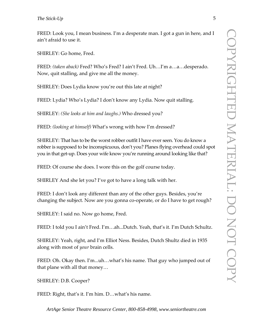FRED: Look you, I mean business. I'm a desperate man. I got a gun in here, and I ain't afraid to use it.

SHIRLEY: Go home, Fred.

FRED: *(taken aback)* Fred? Who's Fred? I ain't Fred. Uh…I'm a…a…desperado. Now, quit stalling, and give me all the money.

SHIRLEY: Does Lydia know you're out this late at night?

FRED: Lydia? Who's Lydia? I don't know any Lydia. Now quit stalling.

SHIRLEY: *(She looks at him and laughs.)* Who dressed you?

FRED: *(looking at himself)* What's wrong with how I'm dressed?

SHIRLEY: That has to be the worst robber outfit I have ever seen. You do know a robber is supposed to be inconspicuous, don't you? Planes flying overhead could spot you in that get-up. Does your wife know you're running around looking like that?

FRED: Of course she does. I wore this on the golf course today.

SHIRLEY And she let you? I've got to have a long talk with her.

FRED: I don't look any different than any of the other guys. Besides, you're changing the subject. Now are you gonna co-operate, or do I have to get rough?

SHIRLEY: I said no. Now go home, Fred.

FRED: I told you I ain't Fred. I'm…ah...Dutch. Yeah, that's it. I'm Dutch Schultz.

SHIRLEY: Yeah, right, and I'm Elliot Ness. Besides, Dutch Shultz died in 1935 along with most of *your* brain cells.

FRED: Oh. Okay then. I'm...uh…what's his name. That guy who jumped out of that plane with all that money…

SHIRLEY: D.B. Cooper?

FRED: Right, that's it. I'm him. D…what's his name.